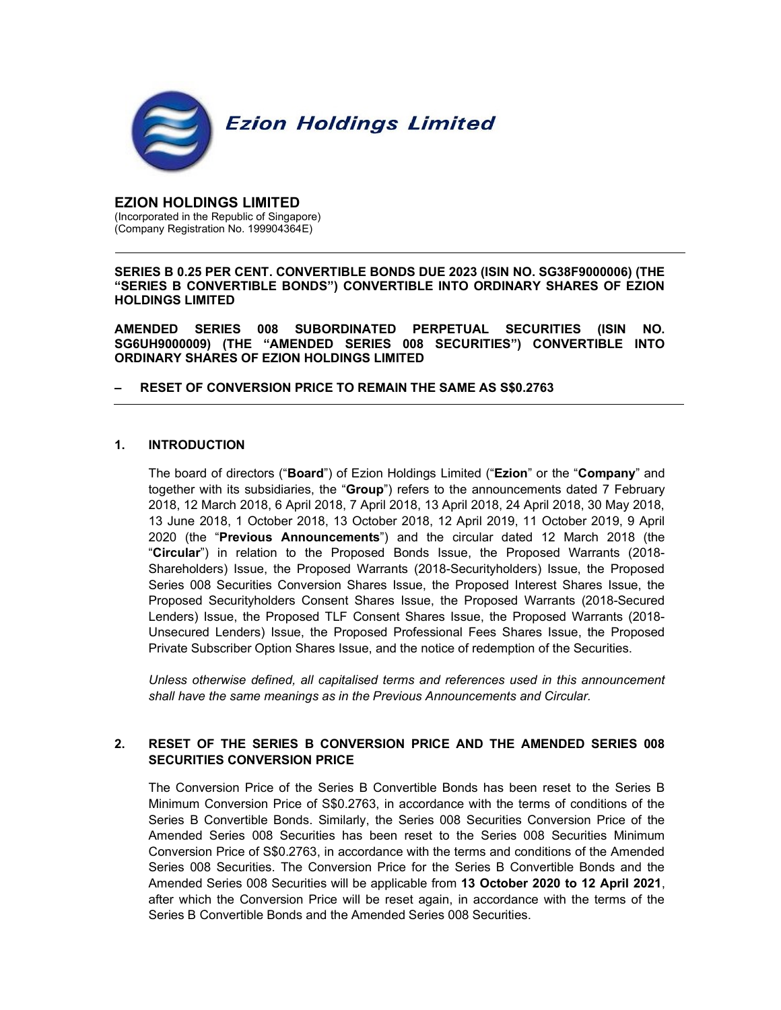

EZION HOLDINGS LIMITED (Incorporated in the Republic of Singapore) (Company Registration No. 199904364E)

SERIES B 0.25 PER CENT. CONVERTIBLE BONDS DUE 2023 (ISIN NO. SG38F9000006) (THE "SERIES B CONVERTIBLE BONDS") CONVERTIBLE INTO ORDINARY SHARES OF EZION HOLDINGS LIMITED

AMENDED SERIES 008 SUBORDINATED PERPETUAL SECURITIES (ISIN NO. SG6UH9000009) (THE "AMENDED SERIES 008 SECURITIES") CONVERTIBLE INTO ORDINARY SHARES OF EZION HOLDINGS LIMITED

### – RESET OF CONVERSION PRICE TO REMAIN THE SAME AS S\$0.2763

#### 1. INTRODUCTION

The board of directors ("Board") of Ezion Holdings Limited ("Ezion" or the "Company" and together with its subsidiaries, the "Group") refers to the announcements dated 7 February 2018, 12 March 2018, 6 April 2018, 7 April 2018, 13 April 2018, 24 April 2018, 30 May 2018, 13 June 2018, 1 October 2018, 13 October 2018, 12 April 2019, 11 October 2019, 9 April 2020 (the "Previous Announcements") and the circular dated 12 March 2018 (the "Circular") in relation to the Proposed Bonds Issue, the Proposed Warrants (2018- Shareholders) Issue, the Proposed Warrants (2018-Securityholders) Issue, the Proposed Series 008 Securities Conversion Shares Issue, the Proposed Interest Shares Issue, the Proposed Securityholders Consent Shares Issue, the Proposed Warrants (2018-Secured Lenders) Issue, the Proposed TLF Consent Shares Issue, the Proposed Warrants (2018- Unsecured Lenders) Issue, the Proposed Professional Fees Shares Issue, the Proposed Private Subscriber Option Shares Issue, and the notice of redemption of the Securities.

Unless otherwise defined, all capitalised terms and references used in this announcement shall have the same meanings as in the Previous Announcements and Circular.

## 2. RESET OF THE SERIES B CONVERSION PRICE AND THE AMENDED SERIES 008 SECURITIES CONVERSION PRICE

The Conversion Price of the Series B Convertible Bonds has been reset to the Series B Minimum Conversion Price of S\$0.2763, in accordance with the terms of conditions of the Series B Convertible Bonds. Similarly, the Series 008 Securities Conversion Price of the Amended Series 008 Securities has been reset to the Series 008 Securities Minimum Conversion Price of S\$0.2763, in accordance with the terms and conditions of the Amended Series 008 Securities. The Conversion Price for the Series B Convertible Bonds and the Amended Series 008 Securities will be applicable from 13 October 2020 to 12 April 2021, after which the Conversion Price will be reset again, in accordance with the terms of the Series B Convertible Bonds and the Amended Series 008 Securities.